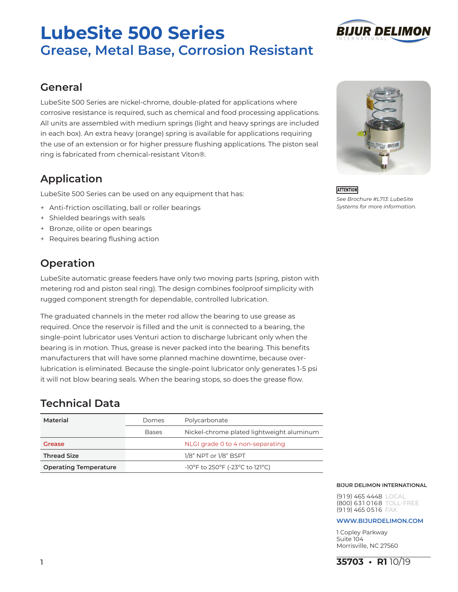# **LubeSite 500 Series Grease, Metal Base, Corrosion Resistant**



LubeSite 500 Series are nickel-chrome, double-plated for applications where corrosive resistance is required, such as chemical and food processing applications. All units are assembled with medium springs (light and heavy springs are included in each box). An extra heavy (orange) spring is available for applications requiring the use of an extension or for higher pressure flushing applications. The piston seal ring is fabricated from chemical-resistant Viton®.

# **Application**

LubeSite 500 Series can be used on any equipment that has:

- + Anti-friction oscillating, ball or roller bearings
- + Shielded bearings with seals
- + Bronze, oilite or open bearings
- + Requires bearing flushing action

# **Operation**

LubeSite automatic grease feeders have only two moving parts (spring, piston with metering rod and piston seal ring). The design combines foolproof simplicity with rugged component strength for dependable, controlled lubrication.

The graduated channels in the meter rod allow the bearing to use grease as required. Once the reservoir is filled and the unit is connected to a bearing, the single-point lubricator uses Venturi action to discharge lubricant only when the bearing is in motion. Thus, grease is never packed into the bearing. This benefits manufacturers that will have some planned machine downtime, because overlubrication is eliminated. Because the single-point lubricator only generates 1-5 psi it will not blow bearing seals. When the bearing stops, so does the grease flow.

# **Technical Data**

| Domes        | Polycarbonate                             |
|--------------|-------------------------------------------|
| <b>Bases</b> | Nickel-chrome plated lightweight aluminum |
|              | NLGI grade 0 to 4 non-separating          |
|              | 1/8" NPT or 1/8" BSPT                     |
|              | -10°F to 250°F (-23°C to 121°C)           |
|              |                                           |

#### **BIJUR DELIMON INTERNATIONAL**

(9 1 9) 465 4448 LOCAL (800) 631 0168 TOLL-FREE  $(919)$  465 0516 FAX

#### **www.bijurdelimon.coM**

1 Copley Parkway Suite 104 Morrisville, NC 27560



*See Brochure #L713: LubeSite Systems for more information.*

**ATTENTION** 



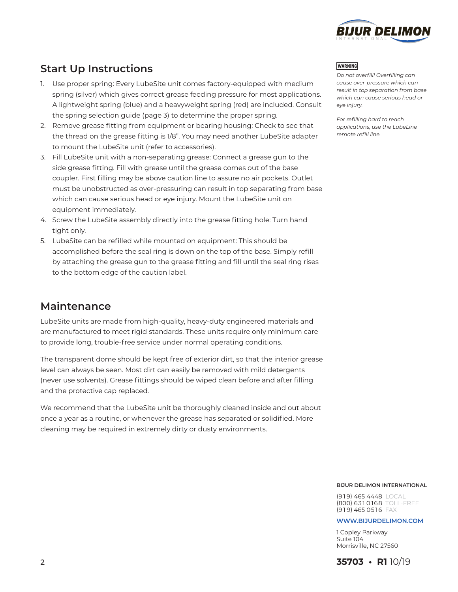

# **Start Up Instructions**

- 1. Use proper spring: Every LubeSite unit comes factory-equipped with medium spring (silver) which gives correct grease feeding pressure for most applications. A lightweight spring (blue) and a heavyweight spring (red) are included. Consult the spring selection guide (page 3) to determine the proper spring.
- 2. Remove grease fitting from equipment or bearing housing: Check to see that the thread on the grease fitting is 1/8". You may need another LubeSite adapter to mount the LubeSite unit (refer to accessories).
- 3. Fill LubeSite unit with a non-separating grease: Connect a grease gun to the side grease fitting. Fill with grease until the grease comes out of the base coupler. First filling may be above caution line to assure no air pockets. Outlet must be unobstructed as over-pressuring can result in top separating from base which can cause serious head or eye injury. Mount the LubeSite unit on equipment immediately.
- 4. Screw the LubeSite assembly directly into the grease fitting hole: Turn hand tight only.
- 5. LubeSite can be refilled while mounted on equipment: This should be accomplished before the seal ring is down on the top of the base. Simply refill by attaching the grease gun to the grease fitting and fill until the seal ring rises to the bottom edge of the caution label.

### **Maintenance**

LubeSite units are made from high-quality, heavy-duty engineered materials and are manufactured to meet rigid standards. These units require only minimum care to provide long, trouble-free service under normal operating conditions.

The transparent dome should be kept free of exterior dirt, so that the interior grease level can always be seen. Most dirt can easily be removed with mild detergents (never use solvents). Grease fittings should be wiped clean before and after filling and the protective cap replaced.

We recommend that the LubeSite unit be thoroughly cleaned inside and out about once a year as a routine, or whenever the grease has separated or solidified. More cleaning may be required in extremely dirty or dusty environments.

#### **WARNING**

*Do not overfill! Overfilling can cause over-pressure which can result in top separation from base which can cause serious head or eye injury.* 

*For refilling hard to reach applications, use the LubeLine remote refill line.*

#### **BIJUR DELIMON INTERNATIONAL**

 $(919) 465 4448 1001$ (800) 631 0168 TOLL-FREE  $(919)$  465 0516 FAX

#### **www.bijurdelimon.coM**

1 Copley Parkway Suite 104 Morrisville, NC 27560

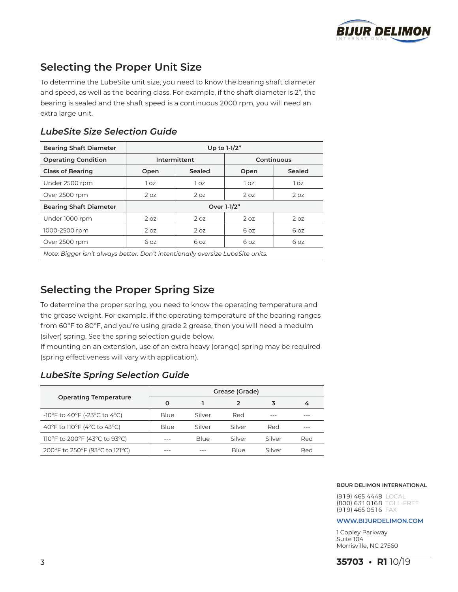

# **Selecting the Proper Unit Size**

To determine the LubeSite unit size, you need to know the bearing shaft diameter and speed, as well as the bearing class. For example, if the shaft diameter is 2", the bearing is sealed and the shaft speed is a continuous 2000 rpm, you will need an extra large unit.

### *LubeSite Size Selection Guide*

| <b>Bearing Shaft Diameter</b>                                                  | Up to 1-1/2"    |                 |            |        |
|--------------------------------------------------------------------------------|-----------------|-----------------|------------|--------|
| <b>Operating Condition</b>                                                     | Intermittent    |                 | Continuous |        |
| <b>Class of Bearing</b>                                                        | Open            | Sealed          | Open       | Sealed |
| Under 2500 rpm                                                                 | 1 oz            | 1 oz            | 1 oz       | 1 oz   |
| Over 2500 rpm                                                                  | 2 oz            | 2 <sub>0z</sub> | 2 oz       | 2 oz   |
| <b>Bearing Shaft Diameter</b>                                                  | Over 1-1/2"     |                 |            |        |
| Under 1000 rpm                                                                 | 2 <sub>oz</sub> | 2 <sub>0z</sub> | 2 oz       | 2 oz   |
| 1000-2500 rpm                                                                  | 2 oz            | 2 oz            | 6 oz       | 6 oz   |
| Over 2500 rpm                                                                  | 6 oz            | 6 oz            | 6 oz       | 6 oz   |
| Note: Bigger isn't always better. Don't intentionally oversize LubeSite units. |                 |                 |            |        |

# **Selecting the Proper Spring Size**

To determine the proper spring, you need to know the operating temperature and the grease weight. For example, if the operating temperature of the bearing ranges from 60ºF to 80ºF, and you're using grade 2 grease, then you will need a meduim (silver) spring. See the spring selection guide below.

If mounting on an extension, use of an extra heavy (orange) spring may be required (spring effectiveness will vary with application).

### *LubeSite Spring Selection Guide*

|                                | Grease (Grade) |        |        |        |     |
|--------------------------------|----------------|--------|--------|--------|-----|
| <b>Operating Temperature</b>   | Ω              |        |        |        | 4   |
| -10°F to 40°F (-23°C to 4°C)   | Blue           | Silver | Red    |        |     |
| 40°F to 110°F (4°C to 43°C)    | Blue           | Silver | Silver | Red    |     |
| 110°F to 200°F (43°C to 93°C)  |                | Blue   | Silver | Silver | Red |
| 200°F to 250°F (93°C to 121°C) |                |        | Blue   | Silver | Red |

#### **BIJUR DELIMON INTERNATIONAL**

(9 1 9) 465 4448 LOCAL (800) 631 0168 TOLL-FREE  $(919)$  465 0516 FAX

#### **www.bijurdelimon.coM**

1 Copley Parkway Suite 104 Morrisville, NC 27560

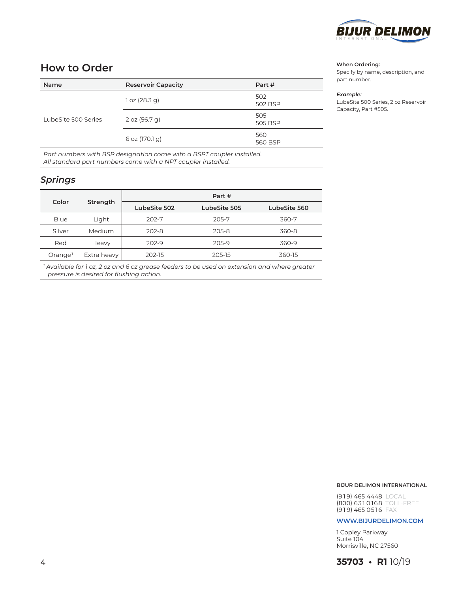

### **How to Order**

| Name                | <b>Reservoir Capacity</b> | Part #         |
|---------------------|---------------------------|----------------|
| LubeSite 500 Series | 1 oz (28.3 g)             | 502<br>502 BSP |
|                     | 2 oz (56.7 g)             | 505<br>505 BSP |
|                     | 6 oz (170.1 g)            | 560<br>560 BSP |

*Part numbers with BSP designation come with a BSPT coupler installed. All standard part numbers come with a NPT coupler installed.*

### *Springs*

|                     |             | Part #       |              |              |
|---------------------|-------------|--------------|--------------|--------------|
| Color<br>Strength   |             | LubeSite 502 | LubeSite 505 | LubeSite 560 |
| Blue                | Light       | 202-7        | 205-7        | 360-7        |
| Silver              | Medium      | $202 - 8$    | 205-8        | 360-8        |
| Red                 | Heavy       | $202 - 9$    | 205-9        | 360-9        |
| Orange <sup>1</sup> | Extra heavy | 202-15       | 205-15       | 360-15       |

*<sup>1</sup> Available for 1 oz, 2 oz and 6 oz grease feeders to be used on extension and where greater pressure is desired for flushing action.*

#### **When Ordering:**

Specify by name, description, and part number.

#### *Example:*

LubeSite 500 Series, 2 oz Reservoir Capacity, Part #505.

#### **BIJUR DELIMON INTERNATIONAL**

(9 1 9) 465 4448 LOCAL (800) 631 0168 TOLL-FREE  $(919)$  465 0516 FAX

#### **www.bijurdelimon.coM**

1 Copley Parkway Suite 104 Morrisville, NC 27560

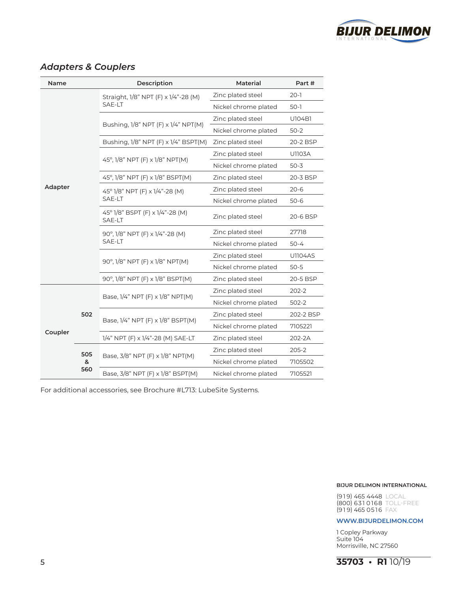

### *Adapters & Couplers*

| <b>Name</b>                | Description |                                           | <b>Material</b>      | Part #         |
|----------------------------|-------------|-------------------------------------------|----------------------|----------------|
|                            |             | Straight, 1/8" NPT (F) x 1/4"-28 (M)      | Zinc plated steel    | $20-1$         |
|                            |             | SAE-LT                                    | Nickel chrome plated | $50-1$         |
|                            |             |                                           | Zinc plated steel    | U104B1         |
|                            |             | Bushing, 1/8" NPT (F) x 1/4" NPT(M)       | Nickel chrome plated | $50-2$         |
|                            |             | Bushing, 1/8" NPT (F) x 1/4" BSPT(M)      | Zinc plated steel    | 20-2 BSP       |
|                            |             |                                           | Zinc plated steel    | <b>U1103A</b>  |
|                            |             | 45°, 1/8" NPT (F) x 1/8" NPT(M)           | Nickel chrome plated | $50 - 3$       |
|                            |             | 45°, 1/8" NPT (F) x 1/8" BSPT(M)          | Zinc plated steel    | 20-3 BSP       |
| Adapter                    |             | 45° 1/8" NPT (F) x 1/4"-28 (M)            | Zinc plated steel    | $20 - 6$       |
|                            |             | SAE-LT                                    | Nickel chrome plated | $50-6$         |
|                            |             | 45° 1/8" BSPT (F) x 1/4"-28 (M)<br>SAE-LT | Zinc plated steel    | 20-6 BSP       |
|                            |             | 90°, 1/8" NPT (F) x 1/4"-28 (M)           | Zinc plated steel    | 27718          |
|                            |             | SAE-LT                                    | Nickel chrome plated | $50 - 4$       |
|                            |             |                                           | Zinc plated steel    | <b>U1104AS</b> |
|                            |             | 90°, 1/8" NPT (F) x 1/8" NPT(M)           | Nickel chrome plated | $50 - 5$       |
|                            |             | 90°, 1/8" NPT (F) x 1/8" BSPT(M)          | Zinc plated steel    | 20-5 BSP       |
|                            |             | Base, 1/4" NPT (F) x 1/8" NPT(M)          | Zinc plated steel    | $202 - 2$      |
| 502<br>Coupler<br>505<br>& |             | Nickel chrome plated                      | 502-2                |                |
|                            |             |                                           | Zinc plated steel    | 202-2 BSP      |
|                            |             | Base, 1/4" NPT (F) x 1/8" BSPT(M)         | Nickel chrome plated | 7105221        |
|                            |             | 1/4" NPT (F) x 1/4"-28 (M) SAE-LT         | Zinc plated steel    | 202-2A         |
|                            |             | Base, 3/8" NPT (F) x 1/8" NPT(M)          | Zinc plated steel    | $205 - 2$      |
|                            |             |                                           | Nickel chrome plated | 7105502        |
| 560                        |             | Base, 3/8" NPT (F) x 1/8" BSPT(M)         | Nickel chrome plated | 7105521        |

For additional accessories, see Brochure #L713: LubeSite Systems.

#### **BIJUR DELIMON INTERNATIONAL**

(9 1 9) 465 4448 LOCAL (800) 631 0168 TOLL-FREE (919) 465 0516 FAX

#### **www.bijurdelimon.coM**

1 Copley Parkway Suite 104 Morrisville, NC 27560